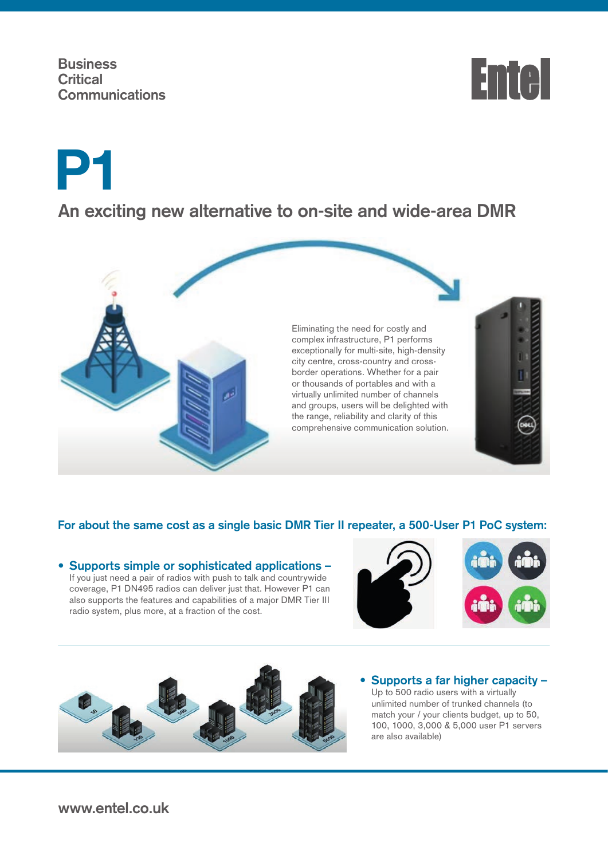



**An exciting new alternative to on-site and wide-area DMR**



# **For about the same cost as a single basic DMR Tier II repeater, a 500-User P1 PoC system:**

**• Supports simple or sophisticated applications –**  If you just need a pair of radios with push to talk and countrywide coverage, P1 DN495 radios can deliver just that. However P1 can also supports the features and capabilities of a major DMR Tier III radio system, plus more, at a fraction of the cost.





**• Supports a far higher capacity –**  Up to 500 radio users with a virtually unlimited number of trunked channels (to match your / your clients budget, up to 50, 100, 1000, 3,000 & 5,000 user P1 servers are also available)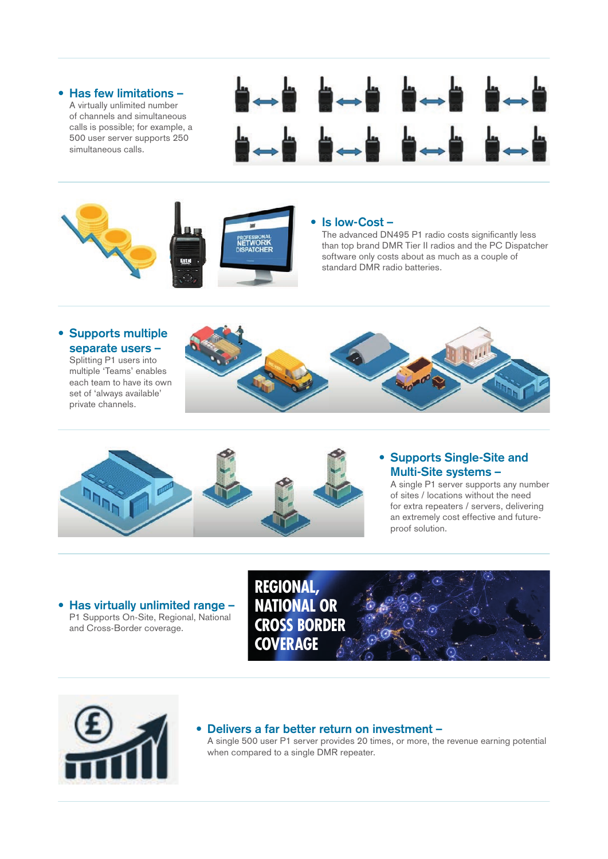#### **• Has few limitations –**

A virtually unlimited number of channels and simultaneous calls is possible; for example, a 500 user server supports 250 simultaneous calls.





#### **• Is low-Cost –**

The advanced DN495 P1 radio costs significantly less than top brand DMR Tier II radios and the PC Dispatcher software only costs about as much as a couple of standard DMR radio batteries.

#### **• Supports multiple separate users –**

Splitting P1 users into multiple 'Teams' enables each team to have its own set of 'always available' private channels.





### **• Supports Single-Site and Multi-Site systems –**

A single P1 server supports any number of sites / locations without the need for extra repeaters / servers, delivering an extremely cost effective and futureproof solution.

**• Has virtually unlimited range –**  P1 Supports On-Site, Regional, National and Cross-Border coverage.





#### **• Delivers a far better return on investment –**

A single 500 user P1 server provides 20 times, or more, the revenue earning potential when compared to a single DMR repeater.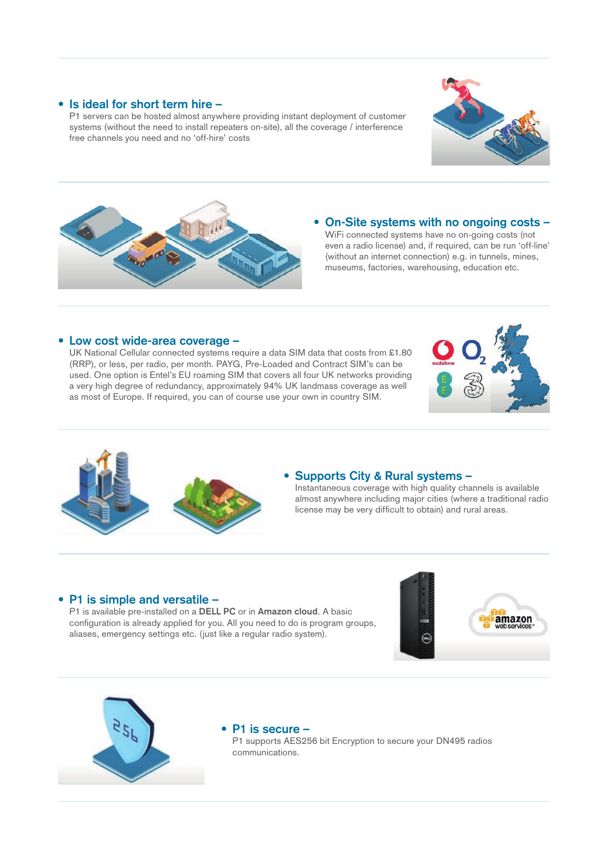#### **• Is ideal for short term hire –**

P1 servers can be hosted almost anywhere providing instant deployment of customer systems (without the need to install repeaters on-site), all the coverage / interference free channels you need and no 'off-hire' costs





#### **• On-Site systems with no ongoing costs –**

WiFi connected systems have no on-going costs (not even a radio license) and, if required, can be run 'off-line' (without an internet connection) e.g. in tunnels, mines, museums, factories, warehousing, education etc.

#### **• Low cost wide-area coverage –**

UK National Cellular connected systems require a data SIM data that costs from £1.80 (RRP), or less, per radio, per month. PAYG, Pre-Loaded and Contract SIM's can be used. One option is Entel's EU roaming SIM that covers all four UK networks providing a very high degree of redundancy, approximately 94% UK landmass coverage as well as most of Europe. If required, you can of course use your own in country SIM.





#### **• Supports City & Rural systems –**

Instantaneous coverage with high quality channels is available almost anywhere including major cities (where a traditional radio license may be very difficult to obtain) and rural areas.

#### **• P1 is simple and versatile –**

P1 is available pre-installed on a **DELL PC** or in **Amazon cloud**. A basic configuration is already applied for you. All you need to do is program groups, aliases, emergency settings etc. (just like a regular radio system).





#### **• P1 is secure –**

P1 supports AES256 bit Encryption to secure your DN495 radios communications.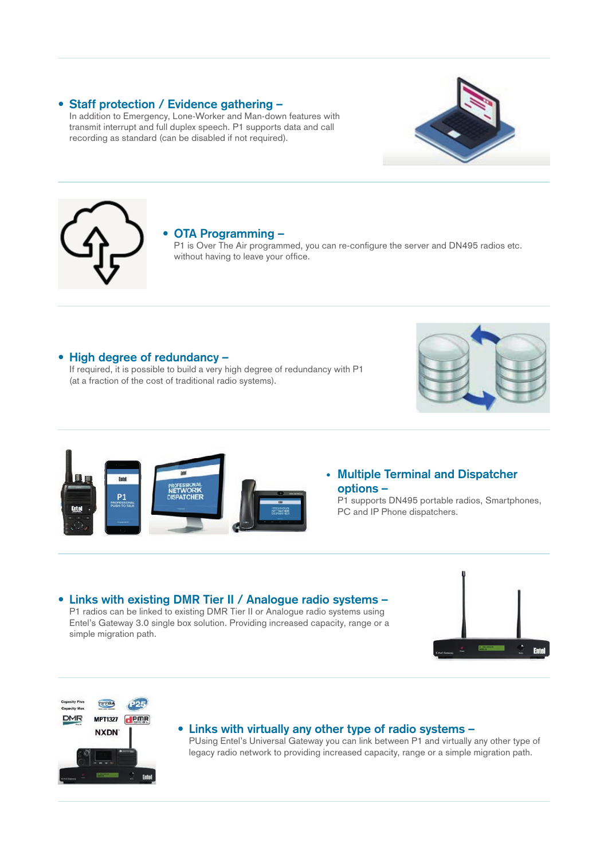#### **• Staff protection / Evidence gathering –**

In addition to Emergency, Lone-Worker and Man-down features with transmit interrupt and full duplex speech. P1 supports data and call recording as standard (can be disabled if not required).





#### **• OTA Programming –**

P1 is Over The Air programmed, you can re-configure the server and DN495 radios etc. without having to leave your office.

#### **• High degree of redundancy –**

If required, it is possible to build a very high degree of redundancy with P1 (at a fraction of the cost of traditional radio systems).





## **• Multiple Terminal and Dispatcher options –**

P1 supports DN495 portable radios, Smartphones, PC and IP Phone dispatchers.

# **• Links with existing DMR Tier II / Analogue radio systems –**

P1 radios can be linked to existing DMR Tier II or Analogue radio systems using Entel's Gateway 3.0 single box solution. Providing increased capacity, range or a simple migration path.





#### **• Links with virtually any other type of radio systems –**

PUsing Entel's Universal Gateway you can link between P1 and virtually any other type of legacy radio network to providing increased capacity, range or a simple migration path.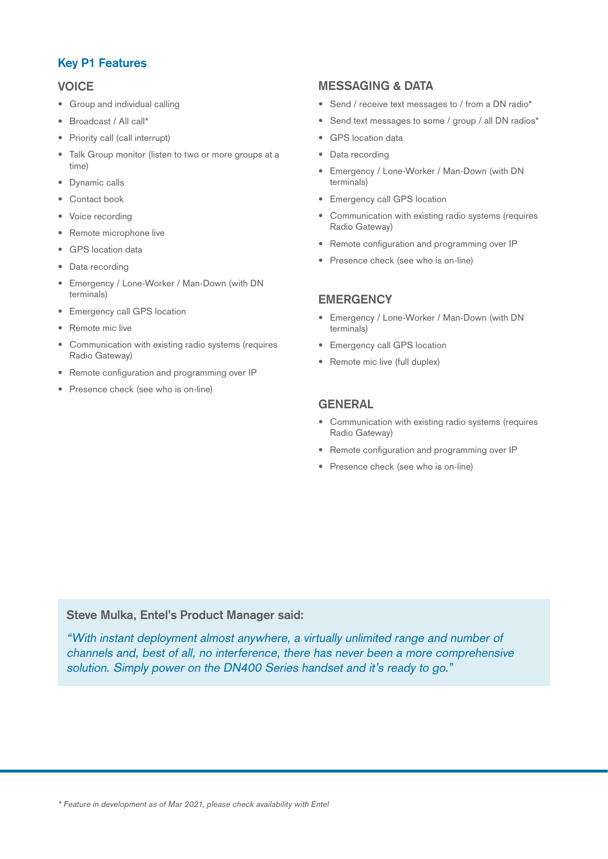# **Key P1 Features**

#### **VOICE**

- Group and individual calling
- Broadcast / All call\*
- Priority call (call interrupt)
- Talk Group monitor (listen to two or more groups at a time)
- Dynamic calls
- Contact book
- Voice recording
- Remote microphone live
- GPS location data
- Data recording
- Emergency / Lone-Worker / Man-Down (with DN terminals)
- Emergency call GPS location
- Remote mic live
- Communication with existing radio systems (requires Radio Gateway)
- Remote configuration and programming over IP
- Presence check (see who is on-line)

# **MESSAGING & DATA**

- Send / receive text messages to / from a DN radio\*
- Send text messages to some / group / all DN radios\*
- GPS location data
- Data recording
- Emergency / Lone-Worker / Man-Down (with DN terminals)
- Emergency call GPS location
- Communication with existing radio systems (requires Radio Gateway)
- Remote configuration and programming over IP
- Presence check (see who is on-line)

# **EMERGENCY**

- Emergency / Lone-Worker / Man-Down (with DN terminals)
- Emergency call GPS location
- Remote mic live (full duplex)

# **GENERAL**

- Communication with existing radio systems (requires Radio Gateway)
- Remote configuration and programming over IP
- Presence check (see who is on-line)

#### **Steve Mulka, Entel's Product Manager said:**

"With instant deployment almost anywhere, a virtually unlimited range and number of channels and, best of all, no interference, there has never been a more comprehensive solution. Simply power on the DN400 Series handset and it's ready to go."